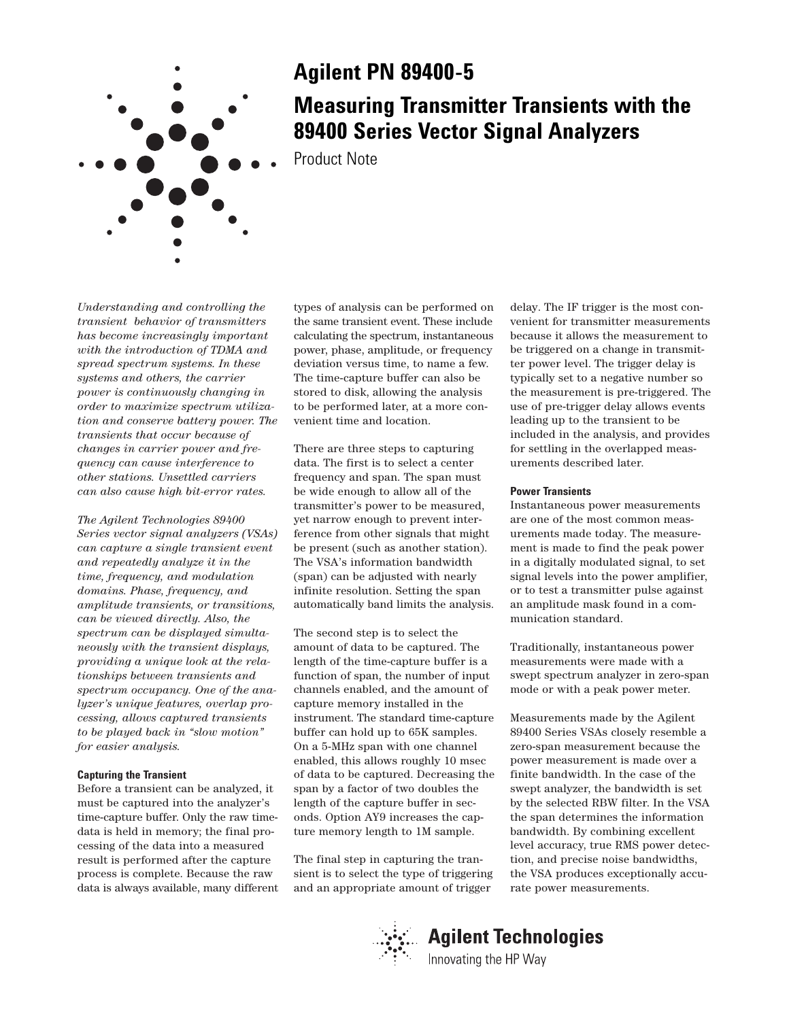

## **Agilent PN 89400-5**

# **Measuring Transmitter Transients with the 89400 Series Vector Signal Analyzers**

Product Note

*Understanding and controlling the transient behavior of transmitters has become increasingly important with the introduction of TDMA and spread spectrum systems. In these systems and others, the carrier power is continuously changing in order to maximize spectrum utilization and conserve battery power. The transients that occur because of changes in carrier power and frequency can cause interference to other stations. Unsettled carriers can also cause high bit-error rates.*

*The Agilent Technologies 89400 Series vector signal analyzers (VSAs) can capture a single transient event and repeatedly analyze it in the time, frequency, and modulation domains. Phase, frequency, and amplitude transients, or transitions, can be viewed directly. Also, the spectrum can be displayed simultaneously with the transient displays, providing a unique look at the relationships between transients and spectrum occupancy. One of the analyzer's unique features, overlap processing, allows captured transients to be played back in "slow motion" for easier analysis.*

## **Capturing the Transient**

Before a transient can be analyzed, it must be captured into the analyzer's time-capture buffer. Only the raw timedata is held in memory; the final processing of the data into a measured result is performed after the capture process is complete. Because the raw data is always available, many different

types of analysis can be performed on the same transient event. These include calculating the spectrum, instantaneous power, phase, amplitude, or frequency deviation versus time, to name a few. The time-capture buffer can also be stored to disk, allowing the analysis to be performed later, at a more convenient time and location.

There are three steps to capturing data. The first is to select a center frequency and span. The span must be wide enough to allow all of the transmitter's power to be measured, yet narrow enough to prevent interference from other signals that might be present (such as another station). The VSA's information bandwidth (span) can be adjusted with nearly infinite resolution. Setting the span automatically band limits the analysis.

The second step is to select the amount of data to be captured. The length of the time-capture buffer is a function of span, the number of input channels enabled, and the amount of capture memory installed in the instrument. The standard time-capture buffer can hold up to 65K samples. On a 5-MHz span with one channel enabled, this allows roughly 10 msec of data to be captured. Decreasing the span by a factor of two doubles the length of the capture buffer in seconds. Option AY9 increases the capture memory length to 1M sample.

The final step in capturing the transient is to select the type of triggering and an appropriate amount of trigger

delay. The IF trigger is the most convenient for transmitter measurements because it allows the measurement to be triggered on a change in transmitter power level. The trigger delay is typically set to a negative number so the measurement is pre-triggered. The use of pre-trigger delay allows events leading up to the transient to be included in the analysis, and provides for settling in the overlapped measurements described later.

#### **Power Transients**

Instantaneous power measurements are one of the most common measurements made today. The measurement is made to find the peak power in a digitally modulated signal, to set signal levels into the power amplifier, or to test a transmitter pulse against an amplitude mask found in a communication standard.

Traditionally, instantaneous power measurements were made with a swept spectrum analyzer in zero-span mode or with a peak power meter.

Measurements made by the Agilent 89400 Series VSAs closely resemble a zero-span measurement because the power measurement is made over a finite bandwidth. In the case of the swept analyzer, the bandwidth is set by the selected RBW filter. In the VSA the span determines the information bandwidth. By combining excellent level accuracy, true RMS power detection, and precise noise bandwidths, the VSA produces exceptionally accurate power measurements.

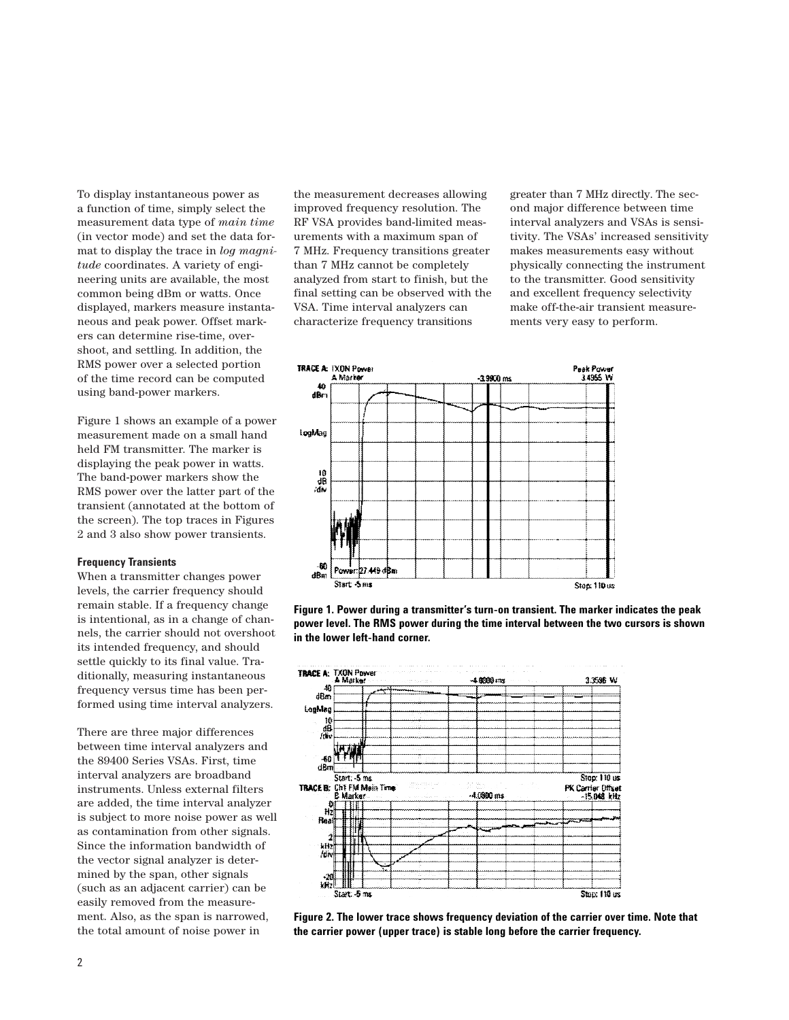To display instantaneous power as a function of time, simply select the measurement data type of *main time* (in vector mode) and set the data format to display the trace in *log magnitude* coordinates. A variety of engineering units are available, the most common being dBm or watts. Once displayed, markers measure instantaneous and peak power. Offset markers can determine rise-time, overshoot, and settling. In addition, the RMS power over a selected portion of the time record can be computed using band-power markers.

Figure 1 shows an example of a power measurement made on a small hand held FM transmitter. The marker is displaying the peak power in watts. The band-power markers show the RMS power over the latter part of the transient (annotated at the bottom of the screen). The top traces in Figures 2 and 3 also show power transients.

### **Frequency Transients**

When a transmitter changes power levels, the carrier frequency should remain stable. If a frequency change is intentional, as in a change of channels, the carrier should not overshoot its intended frequency, and should settle quickly to its final value. Traditionally, measuring instantaneous frequency versus time has been performed using time interval analyzers.

There are three major differences between time interval analyzers and the 89400 Series VSAs. First, time interval analyzers are broadband instruments. Unless external filters are added, the time interval analyzer is subject to more noise power as well as contamination from other signals. Since the information bandwidth of the vector signal analyzer is determined by the span, other signals (such as an adjacent carrier) can be easily removed from the measurement. Also, as the span is narrowed, the total amount of noise power in

the measurement decreases allowing improved frequency resolution. The RF VSA provides band-limited measurements with a maximum span of 7 MHz. Frequency transitions greater than 7 MHz cannot be completely analyzed from start to finish, but the final setting can be observed with the VSA. Time interval analyzers can characterize frequency transitions

greater than 7 MHz directly. The second major difference between time interval analyzers and VSAs is sensitivity. The VSAs' increased sensitivity makes measurements easy without physically connecting the instrument to the transmitter. Good sensitivity and excellent frequency selectivity make off-the-air transient measurements very easy to perform.



**Figure 1. Power during a transmitter's turn-on transient. The marker indicates the peak power level. The RMS power during the time interval between the two cursors is shown in the lower left-hand corner.**



**Figure 2. The lower trace shows frequency deviation of the carrier over time. Note that the carrier power (upper trace) is stable long before the carrier frequency.**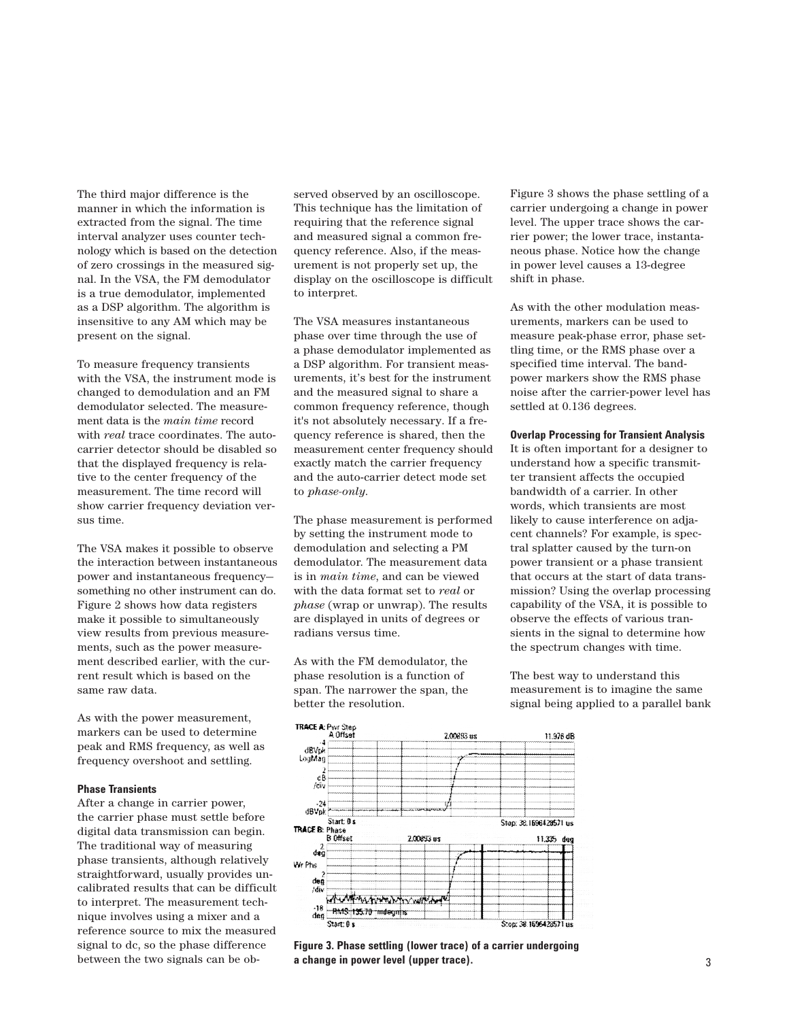The third major difference is the manner in which the information is extracted from the signal. The time interval analyzer uses counter technology which is based on the detection of zero crossings in the measured signal. In the VSA, the FM demodulator is a true demodulator, implemented as a DSP algorithm. The algorithm is insensitive to any AM which may be present on the signal.

To measure frequency transients with the VSA, the instrument mode is changed to demodulation and an FM demodulator selected. The measurement data is the *main time* record with *real* trace coordinates. The autocarrier detector should be disabled so that the displayed frequency is relative to the center frequency of the measurement. The time record will show carrier frequency deviation versus time.

The VSA makes it possible to observe the interaction between instantaneous power and instantaneous frequency something no other instrument can do. Figure 2 shows how data registers make it possible to simultaneously view results from previous measurements, such as the power measurement described earlier, with the current result which is based on the same raw data.

As with the power measurement, markers can be used to determine peak and RMS frequency, as well as frequency overshoot and settling.

## **Phase Transients**

After a change in carrier power, the carrier phase must settle before digital data transmission can begin. The traditional way of measuring phase transients, although relatively straightforward, usually provides uncalibrated results that can be difficult to interpret. The measurement technique involves using a mixer and a reference source to mix the measured signal to dc, so the phase difference between the two signals can be observed observed by an oscilloscope. This technique has the limitation of requiring that the reference signal and measured signal a common frequency reference. Also, if the measurement is not properly set up, the display on the oscilloscope is difficult to interpret.

The VSA measures instantaneous phase over time through the use of a phase demodulator implemented as a DSP algorithm. For transient measurements, it's best for the instrument and the measured signal to share a common frequency reference, though it's not absolutely necessary. If a frequency reference is shared, then the measurement center frequency should exactly match the carrier frequency and the auto-carrier detect mode set to *phase-only*.

The phase measurement is performed by setting the instrument mode to demodulation and selecting a PM demodulator. The measurement data is in *main time*, and can be viewed with the data format set to *real* or *phase* (wrap or unwrap). The results are displayed in units of degrees or radians versus time.

As with the FM demodulator, the phase resolution is a function of span. The narrower the span, the better the resolution.

Figure 3 shows the phase settling of a carrier undergoing a change in power level. The upper trace shows the carrier power; the lower trace, instantaneous phase. Notice how the change in power level causes a 13-degree shift in phase.

As with the other modulation measurements, markers can be used to measure peak-phase error, phase settling time, or the RMS phase over a specified time interval. The bandpower markers show the RMS phase noise after the carrier-power level has settled at 0.136 degrees.

#### **Overlap Processing for Transient Analysis**

It is often important for a designer to understand how a specific transmitter transient affects the occupied bandwidth of a carrier. In other words, which transients are most likely to cause interference on adjacent channels? For example, is spectral splatter caused by the turn-on power transient or a phase transient that occurs at the start of data transmission? Using the overlap processing capability of the VSA, it is possible to observe the effects of various transients in the signal to determine how the spectrum changes with time.

The best way to understand this measurement is to imagine the same signal being applied to a parallel bank



**Figure 3. Phase settling (lower trace) of a carrier undergoing a change in power level (upper trace).**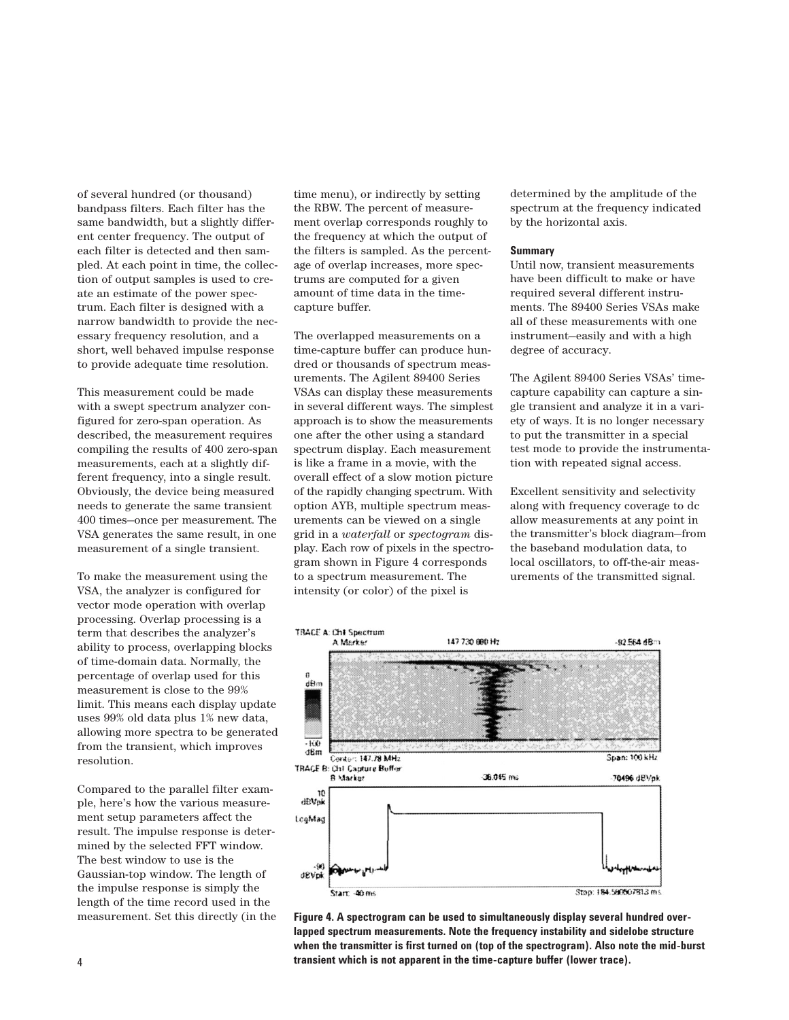of several hundred (or thousand) bandpass filters. Each filter has the same bandwidth, but a slightly different center frequency. The output of each filter is detected and then sampled. At each point in time, the collection of output samples is used to create an estimate of the power spectrum. Each filter is designed with a narrow bandwidth to provide the necessary frequency resolution, and a short, well behaved impulse response to provide adequate time resolution.

This measurement could be made with a swept spectrum analyzer configured for zero-span operation. As described, the measurement requires compiling the results of 400 zero-span measurements, each at a slightly different frequency, into a single result. Obviously, the device being measured needs to generate the same transient 400 times—once per measurement. The VSA generates the same result, in one measurement of a single transient.

To make the measurement using the VSA, the analyzer is configured for vector mode operation with overlap processing. Overlap processing is a term that describes the analyzer's ability to process, overlapping blocks of time-domain data. Normally, the percentage of overlap used for this measurement is close to the 99% limit. This means each display update uses 99% old data plus 1% new data, allowing more spectra to be generated from the transient, which improves resolution.

Compared to the parallel filter example, here's how the various measurement setup parameters affect the result. The impulse response is determined by the selected FFT window. The best window to use is the Gaussian-top window. The length of the impulse response is simply the length of the time record used in the measurement. Set this directly (in the time menu), or indirectly by setting the RBW. The percent of measurement overlap corresponds roughly to the frequency at which the output of the filters is sampled. As the percentage of overlap increases, more spectrums are computed for a given amount of time data in the timecapture buffer.

The overlapped measurements on a time-capture buffer can produce hundred or thousands of spectrum measurements. The Agilent 89400 Series VSAs can display these measurements in several different ways. The simplest approach is to show the measurements one after the other using a standard spectrum display. Each measurement is like a frame in a movie, with the overall effect of a slow motion picture of the rapidly changing spectrum. With option AYB, multiple spectrum measurements can be viewed on a single grid in a *waterfall* or *spectogram* display. Each row of pixels in the spectrogram shown in Figure 4 corresponds to a spectrum measurement. The intensity (or color) of the pixel is

determined by the amplitude of the spectrum at the frequency indicated by the horizontal axis.

## **Summary**

Until now, transient measurements have been difficult to make or have required several different instruments. The 89400 Series VSAs make all of these measurements with one instrument—easily and with a high degree of accuracy.

The Agilent 89400 Series VSAs' timecapture capability can capture a single transient and analyze it in a variety of ways. It is no longer necessary to put the transmitter in a special test mode to provide the instrumentation with repeated signal access.

Excellent sensitivity and selectivity along with frequency coverage to dc allow measurements at any point in the transmitter's block diagram—from the baseband modulation data, to local oscillators, to off-the-air measurements of the transmitted signal.



**Figure 4. A spectrogram can be used to simultaneously display several hundred overlapped spectrum measurements. Note the frequency instability and sidelobe structure when the transmitter is first turned on (top of the spectrogram). Also note the mid-burst transient which is not apparent in the time-capture buffer (lower trace).**